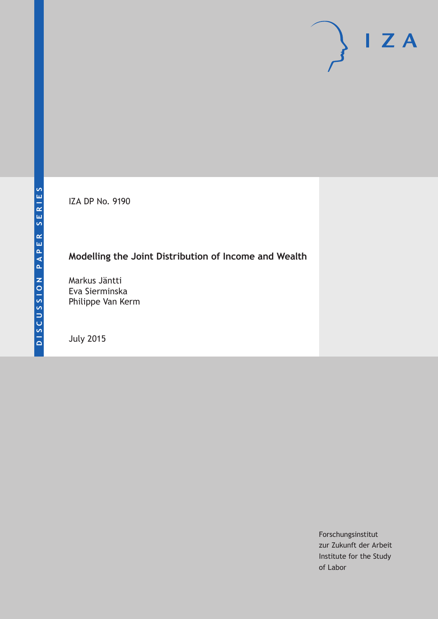IZA DP No. 9190

# **Modelling the Joint Distribution of Income and Wealth**

Markus Jäntti Eva Sierminska Philippe Van Kerm

July 2015

Forschungsinstitut zur Zukunft der Arbeit Institute for the Study of Labor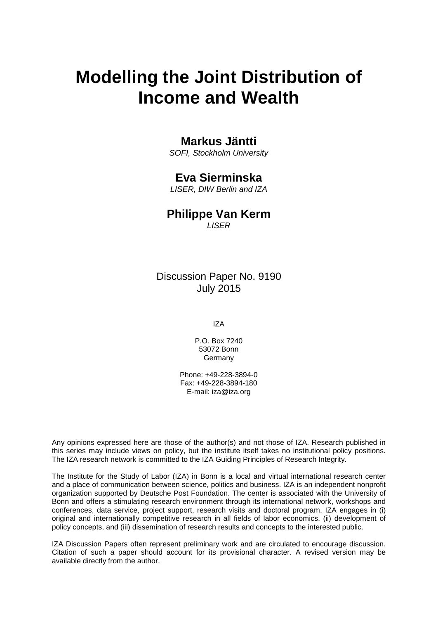# **Modelling the Joint Distribution of Income and Wealth**

# **Markus Jäntti**

*SOFI, Stockholm University*

### **Eva Sierminska**

*LISER, DIW Berlin and IZA*

## **Philippe Van Kerm**

*LISER*

Discussion Paper No. 9190 July 2015

IZA

P.O. Box 7240 53072 Bonn **Germany** 

Phone: +49-228-3894-0 Fax: +49-228-3894-180 E-mail: iza@iza.org

Any opinions expressed here are those of the author(s) and not those of IZA. Research published in this series may include views on policy, but the institute itself takes no institutional policy positions. The IZA research network is committed to the IZA Guiding Principles of Research Integrity.

The Institute for the Study of Labor (IZA) in Bonn is a local and virtual international research center and a place of communication between science, politics and business. IZA is an independent nonprofit organization supported by Deutsche Post Foundation. The center is associated with the University of Bonn and offers a stimulating research environment through its international network, workshops and conferences, data service, project support, research visits and doctoral program. IZA engages in (i) original and internationally competitive research in all fields of labor economics, (ii) development of policy concepts, and (iii) dissemination of research results and concepts to the interested public.

<span id="page-1-0"></span>IZA Discussion Papers often represent preliminary work and are circulated to encourage discussion. Citation of such a paper should account for its provisional character. A revised version may be available directly from the author.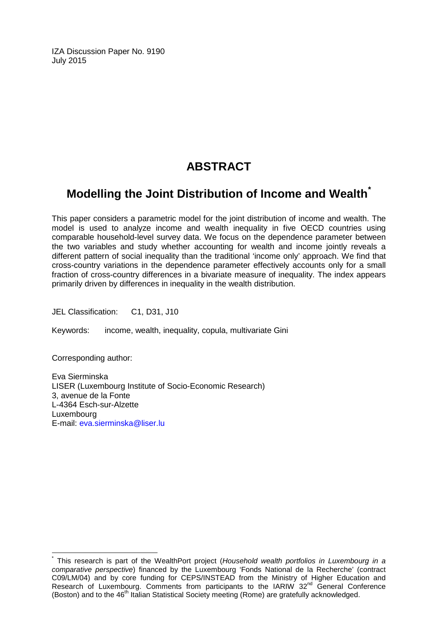IZA Discussion Paper No. 9190 July 2015

# **ABSTRACT**

# **Modelling the Joint Distribution of Income and Wealth[\\*](#page-1-0)**

This paper considers a parametric model for the joint distribution of income and wealth. The model is used to analyze income and wealth inequality in five OECD countries using comparable household-level survey data. We focus on the dependence parameter between the two variables and study whether accounting for wealth and income jointly reveals a different pattern of social inequality than the traditional 'income only' approach. We find that cross-country variations in the dependence parameter effectively accounts only for a small fraction of cross-country differences in a bivariate measure of inequality. The index appears primarily driven by differences in inequality in the wealth distribution.

JEL Classification: C1, D31, J10

Keywords: income, wealth, inequality, copula, multivariate Gini

Corresponding author:

Eva Sierminska LISER (Luxembourg Institute of Socio-Economic Research) 3, avenue de la Fonte L-4364 Esch-sur-Alzette Luxembourg E-mail: [eva.sierminska@liser.lu](mailto:eva.sierminska@liser.lu)

\* This research is part of the WealthPort project (*Household wealth portfolios in Luxembourg in a comparative perspective*) financed by the Luxembourg 'Fonds National de la Recherche' (contract C09/LM/04) and by core funding for CEPS/INSTEAD from the Ministry of Higher Education and Research of Luxembourg. Comments from participants to the IARIW 32<sup>nd</sup> General Conference (Boston) and to the 46<sup>th</sup> Italian Statistical Society meeting (Rome) are gratefully acknowledged.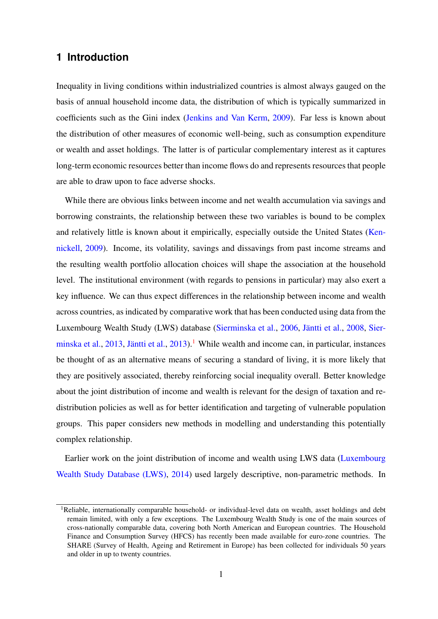# **1 Introduction**

Inequality in living conditions within industrialized countries is almost always gauged on the basis of annual household income data, the distribution of which is typically summarized in coefficients such as the Gini index [\(Jenkins and Van Kerm,](#page-22-0) [2009\)](#page-22-0). Far less is known about the distribution of other measures of economic well-being, such as consumption expenditure or wealth and asset holdings. The latter is of particular complementary interest as it captures long-term economic resources better than income flows do and represents resources that people are able to draw upon to face adverse shocks.

While there are obvious links between income and net wealth accumulation via savings and borrowing constraints, the relationship between these two variables is bound to be complex and relatively little is known about it empirically, especially outside the United States [\(Ken](#page-22-1)[nickell,](#page-22-1) [2009\)](#page-22-1). Income, its volatility, savings and dissavings from past income streams and the resulting wealth portfolio allocation choices will shape the association at the household level. The institutional environment (with regards to pensions in particular) may also exert a key influence. We can thus expect differences in the relationship between income and wealth across countries, as indicated by comparative work that has been conducted using data from the Luxembourg Wealth Study (LWS) database [\(Sierminska et al.,](#page-23-0) [2006,](#page-23-0) [Jäntti et al.,](#page-22-2) [2008,](#page-22-2) [Sier](#page-23-1)[minska et al.,](#page-23-1) [2013,](#page-23-1) [Jäntti et al.,](#page-22-3) [2013\)](#page-22-3).<sup>[1](#page--1-0)</sup> While wealth and income can, in particular, instances be thought of as an alternative means of securing a standard of living, it is more likely that they are positively associated, thereby reinforcing social inequality overall. Better knowledge about the joint distribution of income and wealth is relevant for the design of taxation and redistribution policies as well as for better identification and targeting of vulnerable population groups. This paper considers new methods in modelling and understanding this potentially complex relationship.

Earlier work on the joint distribution of income and wealth using LWS data [\(Luxembourg](#page-23-2) [Wealth Study Database \(LWS\),](#page-23-2) [2014\)](#page-23-2) used largely descriptive, non-parametric methods. In

<sup>&</sup>lt;sup>1</sup>Reliable, internationally comparable household- or individual-level data on wealth, asset holdings and debt remain limited, with only a few exceptions. The Luxembourg Wealth Study is one of the main sources of cross-nationally comparable data, covering both North American and European countries. The Household Finance and Consumption Survey (HFCS) has recently been made available for euro-zone countries. The SHARE (Survey of Health, Ageing and Retirement in Europe) has been collected for individuals 50 years and older in up to twenty countries.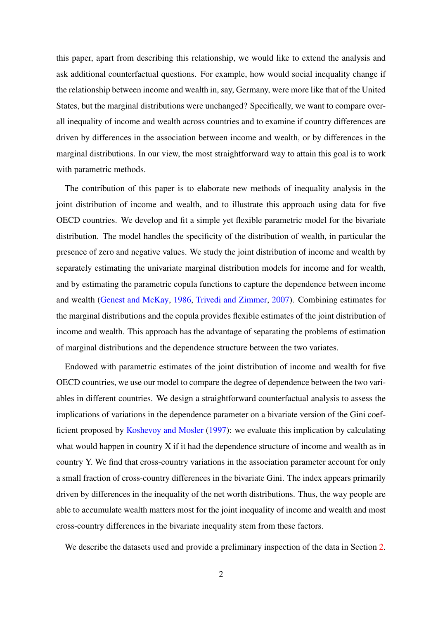this paper, apart from describing this relationship, we would like to extend the analysis and ask additional counterfactual questions. For example, how would social inequality change if the relationship between income and wealth in, say, Germany, were more like that of the United States, but the marginal distributions were unchanged? Specifically, we want to compare overall inequality of income and wealth across countries and to examine if country differences are driven by differences in the association between income and wealth, or by differences in the marginal distributions. In our view, the most straightforward way to attain this goal is to work with parametric methods.

The contribution of this paper is to elaborate new methods of inequality analysis in the joint distribution of income and wealth, and to illustrate this approach using data for five OECD countries. We develop and fit a simple yet flexible parametric model for the bivariate distribution. The model handles the specificity of the distribution of wealth, in particular the presence of zero and negative values. We study the joint distribution of income and wealth by separately estimating the univariate marginal distribution models for income and for wealth, and by estimating the parametric copula functions to capture the dependence between income and wealth [\(Genest and McKay,](#page-22-4) [1986,](#page-22-4) [Trivedi and Zimmer,](#page-24-0) [2007\)](#page-24-0). Combining estimates for the marginal distributions and the copula provides flexible estimates of the joint distribution of income and wealth. This approach has the advantage of separating the problems of estimation of marginal distributions and the dependence structure between the two variates.

Endowed with parametric estimates of the joint distribution of income and wealth for five OECD countries, we use our model to compare the degree of dependence between the two variables in different countries. We design a straightforward counterfactual analysis to assess the implications of variations in the dependence parameter on a bivariate version of the Gini coefficient proposed by [Koshevoy and Mosler](#page-23-3) [\(1997\)](#page-23-3): we evaluate this implication by calculating what would happen in country X if it had the dependence structure of income and wealth as in country Y. We find that cross-country variations in the association parameter account for only a small fraction of cross-country differences in the bivariate Gini. The index appears primarily driven by differences in the inequality of the net worth distributions. Thus, the way people are able to accumulate wealth matters most for the joint inequality of income and wealth and most cross-country differences in the bivariate inequality stem from these factors.

We describe the datasets used and provide a preliminary inspection of the data in Section [2.](#page-5-0)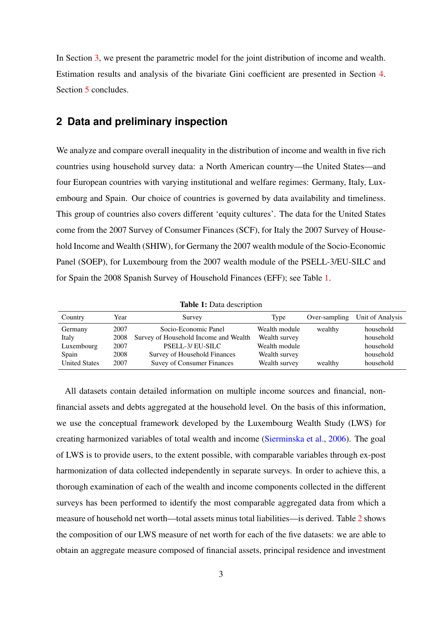In Section [3,](#page-10-0) we present the parametric model for the joint distribution of income and wealth. Estimation results and analysis of the bivariate Gini coefficient are presented in Section [4.](#page-13-0) Section [5](#page-19-0) concludes.

### <span id="page-5-0"></span>**2 Data and preliminary inspection**

We analyze and compare overall inequality in the distribution of income and wealth in five rich countries using household survey data: a North American country—the United States—and four European countries with varying institutional and welfare regimes: Germany, Italy, Luxembourg and Spain. Our choice of countries is governed by data availability and timeliness. This group of countries also covers different 'equity cultures'. The data for the United States come from the 2007 Survey of Consumer Finances (SCF), for Italy the 2007 Survey of Household Income and Wealth (SHIW), for Germany the 2007 wealth module of the Socio-Economic Panel (SOEP), for Luxembourg from the 2007 wealth module of the PSELL-3/EU-SILC and for Spain the 2008 Spanish Survey of Household Finances (EFF); see Table [1.](#page-5-1)

Table 1: Data description

<span id="page-5-1"></span>

| Country              | Year | Survey                                | Type          | Over-sampling | Unit of Analysis |
|----------------------|------|---------------------------------------|---------------|---------------|------------------|
| Germany              | 2007 | Socio-Economic Panel                  | Wealth module | wealthy       | household        |
| Italy                | 2008 | Survey of Household Income and Wealth | Wealth survey |               | household        |
| Luxembourg           | 2007 | PSELL-3/EU-SILC                       | Wealth module |               | household        |
| Spain                | 2008 | Survey of Household Finances          | Wealth survey |               | household        |
| <b>United States</b> | 2007 | <b>Suvey of Consumer Finances</b>     | Wealth survey | wealthy       | household        |

All datasets contain detailed information on multiple income sources and financial, nonfinancial assets and debts aggregated at the household level. On the basis of this information, we use the conceptual framework developed by the Luxembourg Wealth Study (LWS) for creating harmonized variables of total wealth and income [\(Sierminska et al.,](#page-23-0) [2006\)](#page-23-0). The goal of LWS is to provide users, to the extent possible, with comparable variables through ex-post harmonization of data collected independently in separate surveys. In order to achieve this, a thorough examination of each of the wealth and income components collected in the different surveys has been performed to identify the most comparable aggregated data from which a measure of household net worth—total assets minus total liabilities—is derived. Table [2](#page-6-0) shows the composition of our LWS measure of net worth for each of the five datasets: we are able to obtain an aggregate measure composed of financial assets, principal residence and investment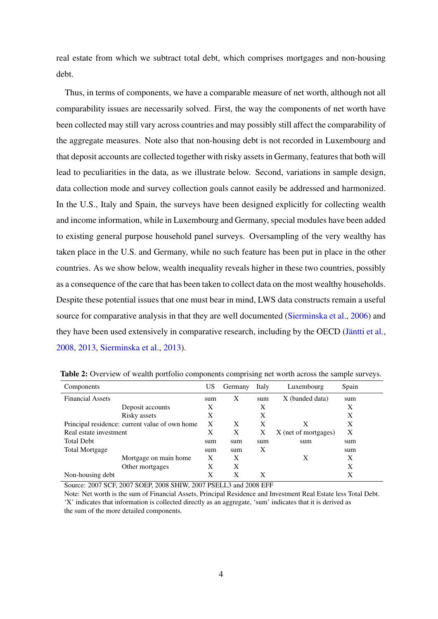real estate from which we subtract total debt, which comprises mortgages and non-housing debt.

Thus, in terms of components, we have a comparable measure of net worth, although not all comparability issues are necessarily solved. First, the way the components of net worth have been collected may still vary across countries and may possibly still affect the comparability of the aggregate measures. Note also that non-housing debt is not recorded in Luxembourg and that deposit accounts are collected together with risky assets in Germany, features that both will lead to peculiarities in the data, as we illustrate below. Second, variations in sample design, data collection mode and survey collection goals cannot easily be addressed and harmonized. In the U.S., Italy and Spain, the surveys have been designed explicitly for collecting wealth and income information, while in Luxembourg and Germany, special modules have been added to existing general purpose household panel surveys. Oversampling of the very wealthy has taken place in the U.S. and Germany, while no such feature has been put in place in the other countries. As we show below, wealth inequality reveals higher in these two countries, possibly as a consequence of the care that has been taken to collect data on the most wealthy households. Despite these potential issues that one must bear in mind, LWS data constructs remain a useful source for comparative analysis in that they are well documented [\(Sierminska et al.,](#page-23-0) [2006\)](#page-23-0) and they have been used extensively in comparative research, including by the OECD [\(Jäntti et al.,](#page-22-2) [2008,](#page-22-2) [2013,](#page-22-3) [Sierminska et al.,](#page-23-1) [2013\)](#page-23-1).

| Components                                     |                       | US  | Germany | Italy | Luxembourg           | Spain |
|------------------------------------------------|-----------------------|-----|---------|-------|----------------------|-------|
| <b>Financial Assets</b>                        |                       | sum | X       | sum   | X (banded data)      | sum   |
|                                                | Deposit accounts      | X   |         | Χ     |                      | X     |
|                                                | Risky assets          | X   |         | X     |                      | X     |
| Principal residence: current value of own home |                       | X   | X       | X     | X                    | X     |
| Real estate investment                         |                       | Х   | Χ       | Χ     | X (net of mortgages) | X     |
| <b>Total Debt</b>                              |                       | sum | sum     | sum   | sum                  | sum   |
| <b>Total Mortgage</b>                          |                       | sum | sum     | X     |                      | sum   |
|                                                | Mortgage on main home | X   | X       |       | X                    | X     |
|                                                | Other mortgages       | Х   | X       |       |                      | X     |
| Non-housing debt                               |                       | X   | X       | X     |                      | Χ     |

<span id="page-6-0"></span>Table 2: Overview of wealth portfolio components comprising net worth across the sample surveys.

Source: 2007 SCF, 2007 SOEP, 2008 SHIW, 2007 PSELL3 and 2008 EFF

Note: Net worth is the sum of Financial Assets, Principal Residence and Investment Real Estate less Total Debt. 'X' indicates that information is collected directly as an aggregate, 'sum' indicates that it is derived as the sum of the more detailed components.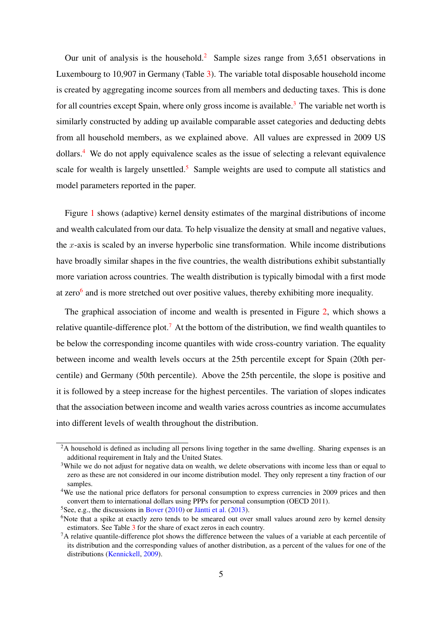Our unit of analysis is the household.<sup>[2](#page--1-0)</sup> Sample sizes range from  $3,651$  observations in Luxembourg to 10,907 in Germany (Table [3\)](#page-9-0). The variable total disposable household income is created by aggregating income sources from all members and deducting taxes. This is done for all countries except Spain, where only gross income is available.<sup>[3](#page--1-0)</sup> The variable net worth is similarly constructed by adding up available comparable asset categories and deducting debts from all household members, as we explained above. All values are expressed in 2009 US dollars.[4](#page--1-0) We do not apply equivalence scales as the issue of selecting a relevant equivalence scale for wealth is largely unsettled.<sup>[5](#page--1-0)</sup> Sample weights are used to compute all statistics and model parameters reported in the paper.

Figure [1](#page-25-0) shows (adaptive) kernel density estimates of the marginal distributions of income and wealth calculated from our data. To help visualize the density at small and negative values, the *x*-axis is scaled by an inverse hyperbolic sine transformation. While income distributions have broadly similar shapes in the five countries, the wealth distributions exhibit substantially more variation across countries. The wealth distribution is typically bimodal with a first mode at zero<sup>[6](#page--1-0)</sup> and is more stretched out over positive values, thereby exhibiting more inequality.

The graphical association of income and wealth is presented in Figure [2,](#page-26-0) which shows a relative quantile-difference plot.<sup>[7](#page--1-0)</sup> At the bottom of the distribution, we find wealth quantiles to be below the corresponding income quantiles with wide cross-country variation. The equality between income and wealth levels occurs at the 25th percentile except for Spain (20th percentile) and Germany (50th percentile). Above the 25th percentile, the slope is positive and it is followed by a steep increase for the highest percentiles. The variation of slopes indicates that the association between income and wealth varies across countries as income accumulates into different levels of wealth throughout the distribution.

<sup>&</sup>lt;sup>2</sup>A household is defined as including all persons living together in the same dwelling. Sharing expenses is an additional requirement in Italy and the United States.

<sup>&</sup>lt;sup>3</sup>While we do not adjust for negative data on wealth, we delete observations with income less than or equal to zero as these are not considered in our income distribution model. They only represent a tiny fraction of our samples.

<sup>&</sup>lt;sup>4</sup>We use the national price deflators for personal consumption to express currencies in 2009 prices and then convert them to international dollars using PPPs for personal consumption (OECD 2011).

<sup>&</sup>lt;sup>5</sup>See, e.g., the discussions in [Bover](#page-21-0)  $(2010)$  or [Jäntti et al.](#page-22-3)  $(2013)$ .

<sup>&</sup>lt;sup>6</sup>Note that a spike at exactly zero tends to be smeared out over small values around zero by kernel density estimators. See Table [3](#page-9-0) for the share of exact zeros in each country.

 ${}^{7}$ A relative quantile-difference plot shows the difference between the values of a variable at each percentile of its distribution and the corresponding values of another distribution, as a percent of the values for one of the distributions [\(Kennickell,](#page-22-1) [2009\)](#page-22-1).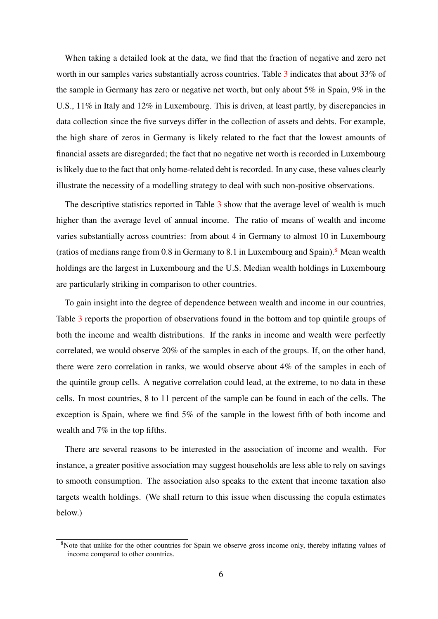When taking a detailed look at the data, we find that the fraction of negative and zero net worth in our samples varies substantially across countries. Table [3](#page-9-0) indicates that about 33% of the sample in Germany has zero or negative net worth, but only about 5% in Spain, 9% in the U.S., 11% in Italy and 12% in Luxembourg. This is driven, at least partly, by discrepancies in data collection since the five surveys differ in the collection of assets and debts. For example, the high share of zeros in Germany is likely related to the fact that the lowest amounts of financial assets are disregarded; the fact that no negative net worth is recorded in Luxembourg is likely due to the fact that only home-related debt is recorded. In any case, these values clearly illustrate the necessity of a modelling strategy to deal with such non-positive observations.

The descriptive statistics reported in Table [3](#page-9-0) show that the average level of wealth is much higher than the average level of annual income. The ratio of means of wealth and income varies substantially across countries: from about 4 in Germany to almost 10 in Luxembourg (ratios of medians range from  $0.8$  $0.8$  in Germany to  $8.1$  in Luxembourg and Spain).<sup>8</sup> Mean wealth holdings are the largest in Luxembourg and the U.S. Median wealth holdings in Luxembourg are particularly striking in comparison to other countries.

To gain insight into the degree of dependence between wealth and income in our countries, Table [3](#page-9-0) reports the proportion of observations found in the bottom and top quintile groups of both the income and wealth distributions. If the ranks in income and wealth were perfectly correlated, we would observe 20% of the samples in each of the groups. If, on the other hand, there were zero correlation in ranks, we would observe about 4% of the samples in each of the quintile group cells. A negative correlation could lead, at the extreme, to no data in these cells. In most countries, 8 to 11 percent of the sample can be found in each of the cells. The exception is Spain, where we find 5% of the sample in the lowest fifth of both income and wealth and 7% in the top fifths.

There are several reasons to be interested in the association of income and wealth. For instance, a greater positive association may suggest households are less able to rely on savings to smooth consumption. The association also speaks to the extent that income taxation also targets wealth holdings. (We shall return to this issue when discussing the copula estimates below.)

<sup>&</sup>lt;sup>8</sup>Note that unlike for the other countries for Spain we observe gross income only, thereby inflating values of income compared to other countries.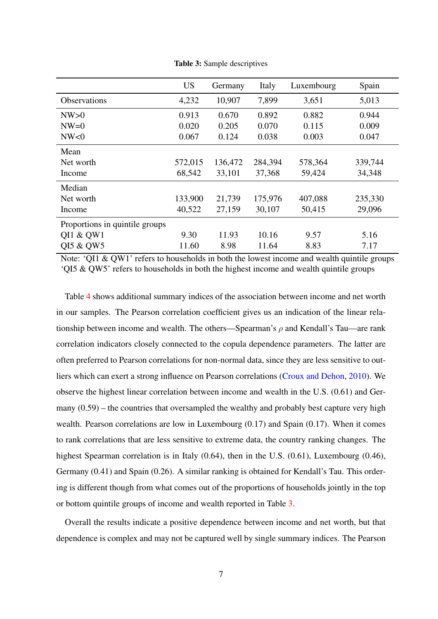<span id="page-9-0"></span>

|                                | <b>US</b> | Germany | Italy   | Luxembourg | Spain   |
|--------------------------------|-----------|---------|---------|------------|---------|
| <b>Observations</b>            | 4,232     | 10,907  | 7,899   | 3,651      | 5,013   |
| NW>0                           | 0.913     | 0.670   | 0.892   | 0.882      | 0.944   |
| $NW=0$                         | 0.020     | 0.205   | 0.070   | 0.115      | 0.009   |
| NW<0                           | 0.067     | 0.124   | 0.038   | 0.003      | 0.047   |
| Mean                           |           |         |         |            |         |
| Net worth                      | 572,015   | 136,472 | 284,394 | 578,364    | 339,744 |
| Income                         | 68,542    | 33,101  | 37,368  | 59,424     | 34,348  |
| Median                         |           |         |         |            |         |
| Net worth                      | 133,900   | 21,739  | 175,976 | 407,088    | 235,330 |
| Income                         | 40,522    | 27,159  | 30,107  | 50,415     | 29,096  |
| Proportions in quintile groups |           |         |         |            |         |
| QI1 & QW1                      | 9.30      | 11.93   | 10.16   | 9.57       | 5.16    |
| QI5 & QW5                      | 11.60     | 8.98    | 11.64   | 8.83       | 7.17    |

Table 3: Sample descriptives

Note: 'QI1 & QW1' refers to households in both the lowest income and wealth quintile groups 'QI5 & QW5' refers to households in both the highest income and wealth quintile groups

Table [4](#page-10-1) shows additional summary indices of the association between income and net worth in our samples. The Pearson correlation coefficient gives us an indication of the linear relationship between income and wealth. The others—Spearman's *ρ* and Kendall's Tau—are rank correlation indicators closely connected to the copula dependence parameters. The latter are often preferred to Pearson correlations for non-normal data, since they are less sensitive to outliers which can exert a strong influence on Pearson correlations [\(Croux and Dehon,](#page-22-5) [2010\)](#page-22-5). We observe the highest linear correlation between income and wealth in the U.S. (0.61) and Germany  $(0.59)$  – the countries that oversampled the wealthy and probably best capture very high wealth. Pearson correlations are low in Luxembourg (0.17) and Spain (0.17). When it comes to rank correlations that are less sensitive to extreme data, the country ranking changes. The highest Spearman correlation is in Italy (0.64), then in the U.S. (0.61), Luxembourg (0.46), Germany (0.41) and Spain (0.26). A similar ranking is obtained for Kendall's Tau. This ordering is different though from what comes out of the proportions of households jointly in the top or bottom quintile groups of income and wealth reported in Table [3.](#page-9-0)

Overall the results indicate a positive dependence between income and net worth, but that dependence is complex and may not be captured well by single summary indices. The Pearson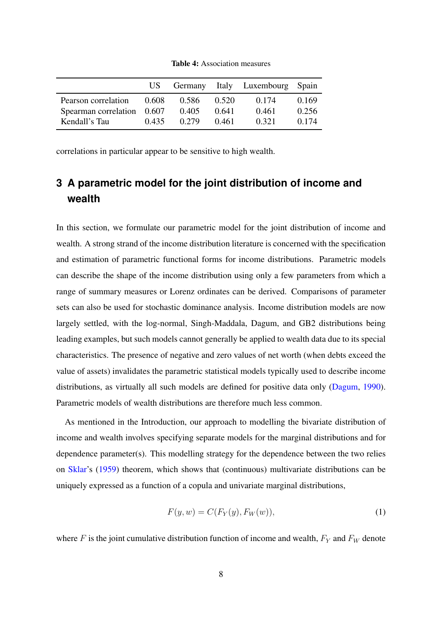<span id="page-10-1"></span>

|                            | US –  |       |       | Germany Italy Luxembourg Spain |       |
|----------------------------|-------|-------|-------|--------------------------------|-------|
| Pearson correlation 0.608  |       | 0.586 | 0.520 | 0.174                          | 0.169 |
| Spearman correlation 0.607 |       | 0.405 | 0.641 | 0.461                          | 0.256 |
| Kendall's Tau              | 0.435 | 0.279 | 0.461 | 0.321                          | 0.174 |

Table 4: Association measures

correlations in particular appear to be sensitive to high wealth.

# <span id="page-10-0"></span>**3 A parametric model for the joint distribution of income and wealth**

In this section, we formulate our parametric model for the joint distribution of income and wealth. A strong strand of the income distribution literature is concerned with the specification and estimation of parametric functional forms for income distributions. Parametric models can describe the shape of the income distribution using only a few parameters from which a range of summary measures or Lorenz ordinates can be derived. Comparisons of parameter sets can also be used for stochastic dominance analysis. Income distribution models are now largely settled, with the log-normal, Singh-Maddala, Dagum, and GB2 distributions being leading examples, but such models cannot generally be applied to wealth data due to its special characteristics. The presence of negative and zero values of net worth (when debts exceed the value of assets) invalidates the parametric statistical models typically used to describe income distributions, as virtually all such models are defined for positive data only [\(Dagum,](#page-22-6) [1990\)](#page-22-6). Parametric models of wealth distributions are therefore much less common.

As mentioned in the Introduction, our approach to modelling the bivariate distribution of income and wealth involves specifying separate models for the marginal distributions and for dependence parameter(s). This modelling strategy for the dependence between the two relies on [Sklar'](#page-23-4)s [\(1959\)](#page-23-4) theorem, which shows that (continuous) multivariate distributions can be uniquely expressed as a function of a copula and univariate marginal distributions,

$$
F(y, w) = C(F_Y(y), F_W(w)),
$$
\n<sup>(1)</sup>

where *F* is the joint cumulative distribution function of income and wealth,  $F_Y$  and  $F_W$  denote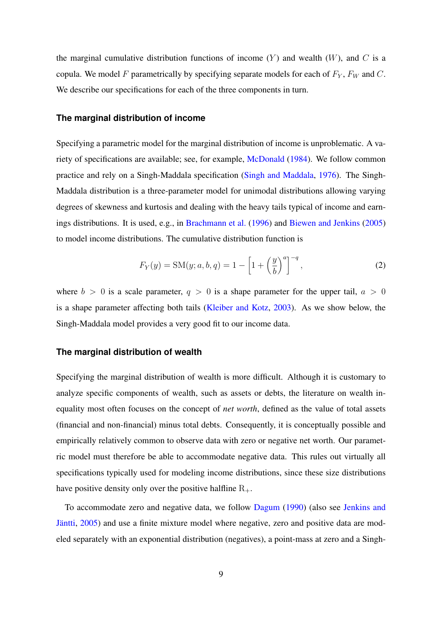the marginal cumulative distribution functions of income  $(Y)$  and wealth  $(W)$ , and  $C$  is a copula. We model *F* parametrically by specifying separate models for each of *F<sup>Y</sup>* , *F<sup>W</sup>* and *C*. We describe our specifications for each of the three components in turn.

#### **The marginal distribution of income**

Specifying a parametric model for the marginal distribution of income is unproblematic. A variety of specifications are available; see, for example, [McDonald](#page-23-5) [\(1984\)](#page-23-5). We follow common practice and rely on a Singh-Maddala specification [\(Singh and Maddala,](#page-23-6) [1976\)](#page-23-6). The Singh-Maddala distribution is a three-parameter model for unimodal distributions allowing varying degrees of skewness and kurtosis and dealing with the heavy tails typical of income and earnings distributions. It is used, e.g., in [Brachmann et al.](#page-22-7) [\(1996\)](#page-22-7) and [Biewen and Jenkins](#page-21-1) [\(2005\)](#page-21-1) to model income distributions. The cumulative distribution function is

$$
F_Y(y) = SM(y; a, b, q) = 1 - \left[1 + \left(\frac{y}{b}\right)^a\right]^{-q},
$$
 (2)

where  $b > 0$  is a scale parameter,  $q > 0$  is a shape parameter for the upper tail,  $a > 0$ is a shape parameter affecting both tails [\(Kleiber and Kotz,](#page-23-7) [2003\)](#page-23-7). As we show below, the Singh-Maddala model provides a very good fit to our income data.

#### **The marginal distribution of wealth**

Specifying the marginal distribution of wealth is more difficult. Although it is customary to analyze specific components of wealth, such as assets or debts, the literature on wealth inequality most often focuses on the concept of *net worth*, defined as the value of total assets (financial and non-financial) minus total debts. Consequently, it is conceptually possible and empirically relatively common to observe data with zero or negative net worth. Our parametric model must therefore be able to accommodate negative data. This rules out virtually all specifications typically used for modeling income distributions, since these size distributions have positive density only over the positive halfline  $R_{+}$ .

To accommodate zero and negative data, we follow [Dagum](#page-22-6) [\(1990\)](#page-22-6) (also see [Jenkins and](#page-22-8) [Jäntti,](#page-22-8) [2005\)](#page-22-8) and use a finite mixture model where negative, zero and positive data are modeled separately with an exponential distribution (negatives), a point-mass at zero and a Singh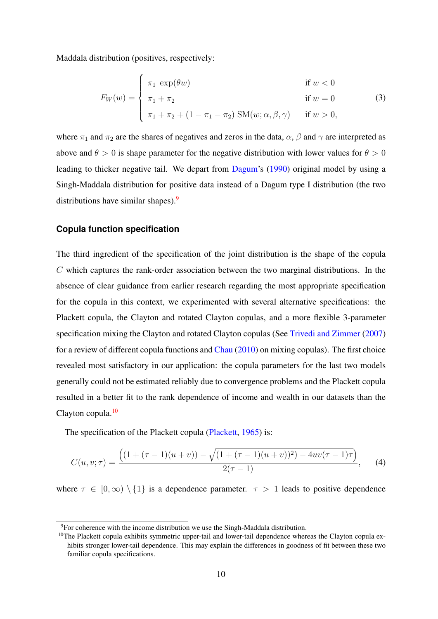Maddala distribution (positives, respectively:

$$
F_W(w) = \begin{cases} \pi_1 \exp(\theta w) & \text{if } w < 0 \\ \pi_1 + \pi_2 & \text{if } w = 0 \\ \pi_1 + \pi_2 + (1 - \pi_1 - \pi_2) \text{SM}(w; \alpha, \beta, \gamma) & \text{if } w > 0, \end{cases}
$$
(3)

where  $\pi_1$  and  $\pi_2$  are the shares of negatives and zeros in the data,  $\alpha$ ,  $\beta$  and  $\gamma$  are interpreted as above and  $\theta > 0$  is shape parameter for the negative distribution with lower values for  $\theta > 0$ leading to thicker negative tail. We depart from [Dagum'](#page-22-6)s [\(1990\)](#page-22-6) original model by using a Singh-Maddala distribution for positive data instead of a Dagum type I distribution (the two distributions have similar shapes). $9$ 

#### **Copula function specification**

The third ingredient of the specification of the joint distribution is the shape of the copula *C* which captures the rank-order association between the two marginal distributions. In the absence of clear guidance from earlier research regarding the most appropriate specification for the copula in this context, we experimented with several alternative specifications: the Plackett copula, the Clayton and rotated Clayton copulas, and a more flexible 3-parameter specification mixing the Clayton and rotated Clayton copulas (See [Trivedi and Zimmer](#page-24-0) [\(2007\)](#page-24-0) for a review of different copula functions and [Chau](#page-22-9) [\(2010\)](#page-22-9) on mixing copulas). The first choice revealed most satisfactory in our application: the copula parameters for the last two models generally could not be estimated reliably due to convergence problems and the Plackett copula resulted in a better fit to the rank dependence of income and wealth in our datasets than the Clayton copula.[10](#page--1-0)

The specification of the Plackett copula [\(Plackett,](#page-23-8) [1965\)](#page-23-8) is:

$$
C(u, v; \tau) = \frac{\left( (1 + (\tau - 1)(u + v)) - \sqrt{(1 + (\tau - 1)(u + v))^2) - 4uv(\tau - 1)\tau} \right)}{2(\tau - 1)},
$$
 (4)

where  $\tau \in [0,\infty) \setminus \{1\}$  is a dependence parameter.  $\tau > 1$  leads to positive dependence

<sup>9</sup>For coherence with the income distribution we use the Singh-Maddala distribution.

<sup>&</sup>lt;sup>10</sup>The Plackett copula exhibits symmetric upper-tail and lower-tail dependence whereas the Clayton copula exhibits stronger lower-tail dependence. This may explain the differences in goodness of fit between these two familiar copula specifications.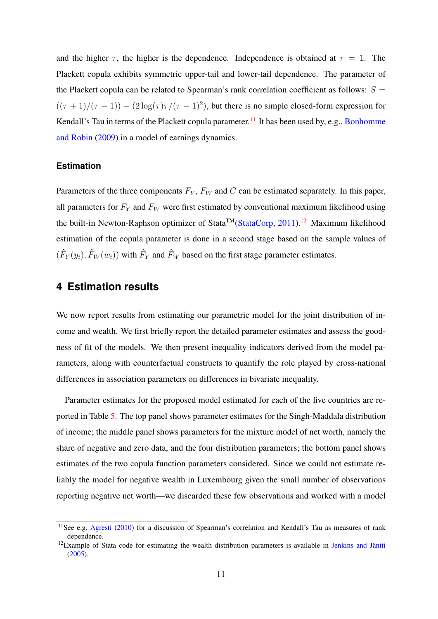and the higher  $\tau$ , the higher is the dependence. Independence is obtained at  $\tau = 1$ . The Plackett copula exhibits symmetric upper-tail and lower-tail dependence. The parameter of the Plackett copula can be related to Spearman's rank correlation coefficient as follows:  $S =$  $((\tau+1)/(\tau-1)) - (2 \log(\tau) \tau/(\tau-1)^2)$ , but there is no simple closed-form expression for Kendall's Tau in terms of the Plackett copula parameter.<sup>[11](#page--1-0)</sup> It has been used by, e.g., [Bonhomme](#page-21-2) [and Robin](#page-21-2) [\(2009\)](#page-21-2) in a model of earnings dynamics.

### **Estimation**

Parameters of the three components *F<sup>Y</sup>* , *F<sup>W</sup>* and *C* can be estimated separately. In this paper, all parameters for  $F_Y$  and  $F_W$  were first estimated by conventional maximum likelihood using the built-in Newton-Raphson optimizer of Stata<sup>TM</sup>[\(StataCorp,](#page-24-1) [2011\)](#page-24-1).<sup>[12](#page--1-0)</sup> Maximum likelihood estimation of the copula parameter is done in a second stage based on the sample values of  $(\hat{F}_Y(y_i), \hat{F}_W(w_i))$  with  $\hat{F}_Y$  and  $\hat{F}_W$  based on the first stage parameter estimates.

### <span id="page-13-0"></span>**4 Estimation results**

We now report results from estimating our parametric model for the joint distribution of income and wealth. We first briefly report the detailed parameter estimates and assess the goodness of fit of the models. We then present inequality indicators derived from the model parameters, along with counterfactual constructs to quantify the role played by cross-national differences in association parameters on differences in bivariate inequality.

Parameter estimates for the proposed model estimated for each of the five countries are reported in Table [5.](#page-15-0) The top panel shows parameter estimates for the Singh-Maddala distribution of income; the middle panel shows parameters for the mixture model of net worth, namely the share of negative and zero data, and the four distribution parameters; the bottom panel shows estimates of the two copula function parameters considered. Since we could not estimate reliably the model for negative wealth in Luxembourg given the small number of observations reporting negative net worth—we discarded these few observations and worked with a model

<sup>&</sup>lt;sup>11</sup>See e.g. [Agresti](#page-21-3) [\(2010\)](#page-21-3) for a discussion of Spearman's correlation and Kendall's Tau as measures of rank dependence.

 $12$ Example of Stata code for estimating the wealth distribution parameters is available in [Jenkins and Jäntti](#page-22-8) [\(2005\)](#page-22-8).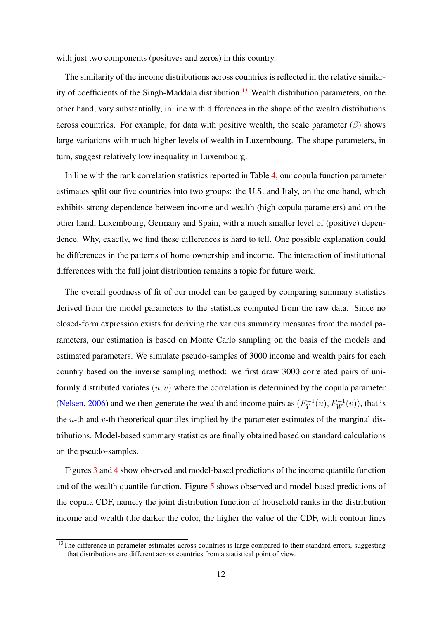with just two components (positives and zeros) in this country.

The similarity of the income distributions across countries is reflected in the relative similar-ity of coefficients of the Singh-Maddala distribution.<sup>[13](#page--1-0)</sup> Wealth distribution parameters, on the other hand, vary substantially, in line with differences in the shape of the wealth distributions across countries. For example, for data with positive wealth, the scale parameter  $(\beta)$  shows large variations with much higher levels of wealth in Luxembourg. The shape parameters, in turn, suggest relatively low inequality in Luxembourg.

In line with the rank correlation statistics reported in Table [4,](#page-10-1) our copula function parameter estimates split our five countries into two groups: the U.S. and Italy, on the one hand, which exhibits strong dependence between income and wealth (high copula parameters) and on the other hand, Luxembourg, Germany and Spain, with a much smaller level of (positive) dependence. Why, exactly, we find these differences is hard to tell. One possible explanation could be differences in the patterns of home ownership and income. The interaction of institutional differences with the full joint distribution remains a topic for future work.

The overall goodness of fit of our model can be gauged by comparing summary statistics derived from the model parameters to the statistics computed from the raw data. Since no closed-form expression exists for deriving the various summary measures from the model parameters, our estimation is based on Monte Carlo sampling on the basis of the models and estimated parameters. We simulate pseudo-samples of 3000 income and wealth pairs for each country based on the inverse sampling method: we first draw 3000 correlated pairs of uniformly distributed variates (*u, v*) where the correlation is determined by the copula parameter [\(Nelsen,](#page-23-9) [2006\)](#page-23-9) and we then generate the wealth and income pairs as  $(F_Y^{-1}(u), F_W^{-1}(v))$ , that is the *u*-th and *v*-th theoretical quantiles implied by the parameter estimates of the marginal distributions. Model-based summary statistics are finally obtained based on standard calculations on the pseudo-samples.

Figures [3](#page-27-0) and [4](#page-28-0) show observed and model-based predictions of the income quantile function and of the wealth quantile function. Figure [5](#page-29-0) shows observed and model-based predictions of the copula CDF, namely the joint distribution function of household ranks in the distribution income and wealth (the darker the color, the higher the value of the CDF, with contour lines

<sup>&</sup>lt;sup>13</sup>The difference in parameter estimates across countries is large compared to their standard errors, suggesting that distributions are different across countries from a statistical point of view.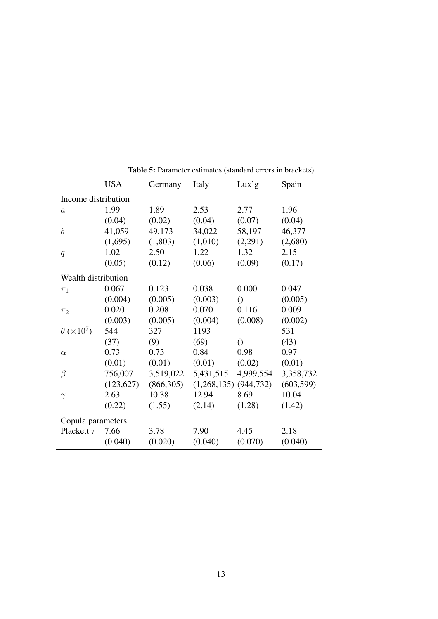<span id="page-15-0"></span>

|                                       | <b>USA</b>          | Germany   | Italy                     | Lux'g            | Spain      |  |  |  |  |
|---------------------------------------|---------------------|-----------|---------------------------|------------------|------------|--|--|--|--|
|                                       | Income distribution |           |                           |                  |            |  |  |  |  |
| $\boldsymbol{a}$                      | 1.99                | 1.89      | 2.53                      | 2.77             | 1.96       |  |  |  |  |
|                                       | (0.04)              | (0.02)    | (0.04)                    | (0.07)           | (0.04)     |  |  |  |  |
| $\boldsymbol{b}$                      | 41,059              | 49,173    | 34,022                    | 58,197           | 46,377     |  |  |  |  |
|                                       | (1,695)             | (1,803)   | (1,010)                   | (2,291)          | (2,680)    |  |  |  |  |
| q                                     | 1.02                | 2.50      | 1.22                      | 1.32             | 2.15       |  |  |  |  |
|                                       | (0.05)              | (0.12)    | (0.06)                    | (0.09)           | (0.17)     |  |  |  |  |
| Wealth distribution                   |                     |           |                           |                  |            |  |  |  |  |
| $\pi_1$                               | 0.067               | 0.123     | 0.038                     | 0.000            | 0.047      |  |  |  |  |
|                                       | (0.004)             | (0.005)   | (0.003)                   | $\left( \right)$ | (0.005)    |  |  |  |  |
| $\pi_2$                               | 0.020               | 0.208     | 0.070                     | 0.116            | 0.009      |  |  |  |  |
|                                       | (0.003)             | (0.005)   | (0.004)                   | (0.008)          | (0.002)    |  |  |  |  |
| $\theta$ ( $\times$ 10 <sup>7</sup> ) | 544                 | 327       | 1193                      |                  | 531        |  |  |  |  |
|                                       | (37)                | (9)       | (69)                      | $\overline{O}$   | (43)       |  |  |  |  |
| $\alpha$                              | 0.73                | 0.73      | 0.84                      | 0.98             | 0.97       |  |  |  |  |
|                                       | (0.01)              | (0.01)    | (0.01)                    | (0.02)           | (0.01)     |  |  |  |  |
| $\beta$                               | 756,007             | 3,519,022 | 5,431,515                 | 4,999,554        | 3,358,732  |  |  |  |  |
|                                       | (123, 627)          | (866,305) | $(1,268,135)$ $(944,732)$ |                  | (603, 599) |  |  |  |  |
| $\gamma$                              | 2.63                | 10.38     | 12.94                     | 8.69             | 10.04      |  |  |  |  |
|                                       | (0.22)              | (1.55)    | (2.14)                    | (1.28)           | (1.42)     |  |  |  |  |
|                                       | Copula parameters   |           |                           |                  |            |  |  |  |  |
| Plackett $\tau$                       | 7.66                | 3.78      | 7.90                      | 4.45             | 2.18       |  |  |  |  |
|                                       | (0.040)             | (0.020)   | (0.040)                   | (0.070)          | (0.040)    |  |  |  |  |

Table 5: Parameter estimates (standard errors in brackets)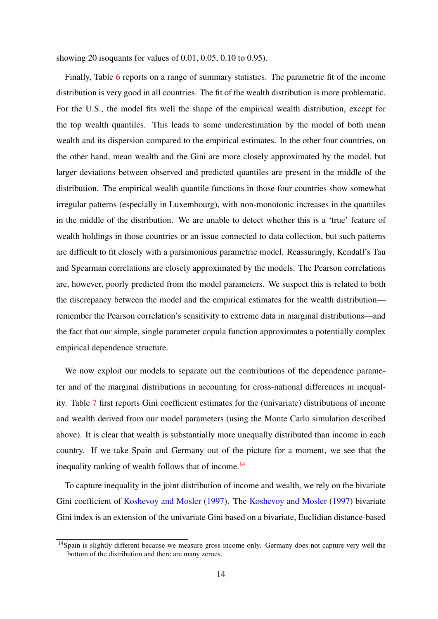showing 20 isoquants for values of 0.01, 0.05, 0.10 to 0.95).

Finally, Table [6](#page-17-0) reports on a range of summary statistics. The parametric fit of the income distribution is very good in all countries. The fit of the wealth distribution is more problematic. For the U.S., the model fits well the shape of the empirical wealth distribution, except for the top wealth quantiles. This leads to some underestimation by the model of both mean wealth and its dispersion compared to the empirical estimates. In the other four countries, on the other hand, mean wealth and the Gini are more closely approximated by the model, but larger deviations between observed and predicted quantiles are present in the middle of the distribution. The empirical wealth quantile functions in those four countries show somewhat irregular patterns (especially in Luxembourg), with non-monotonic increases in the quantiles in the middle of the distribution. We are unable to detect whether this is a 'true' feature of wealth holdings in those countries or an issue connected to data collection, but such patterns are difficult to fit closely with a parsimonious parametric model. Reassuringly, Kendall's Tau and Spearman correlations are closely approximated by the models. The Pearson correlations are, however, poorly predicted from the model parameters. We suspect this is related to both the discrepancy between the model and the empirical estimates for the wealth distribution remember the Pearson correlation's sensitivity to extreme data in marginal distributions—and the fact that our simple, single parameter copula function approximates a potentially complex empirical dependence structure.

We now exploit our models to separate out the contributions of the dependence parameter and of the marginal distributions in accounting for cross-national differences in inequality. Table [7](#page-17-1) first reports Gini coefficient estimates for the (univariate) distributions of income and wealth derived from our model parameters (using the Monte Carlo simulation described above). It is clear that wealth is substantially more unequally distributed than income in each country. If we take Spain and Germany out of the picture for a moment, we see that the inequality ranking of wealth follows that of income.<sup>[14](#page--1-0)</sup>

To capture inequality in the joint distribution of income and wealth, we rely on the bivariate Gini coefficient of [Koshevoy and Mosler](#page-23-3) [\(1997\)](#page-23-3). The [Koshevoy and Mosler](#page-23-3) [\(1997\)](#page-23-3) bivariate Gini index is an extension of the univariate Gini based on a bivariate, Euclidian distance-based

<sup>&</sup>lt;sup>14</sup>Spain is slightly different because we measure gross income only. Germany does not capture very well the bottom of the distribution and there are many zeroes.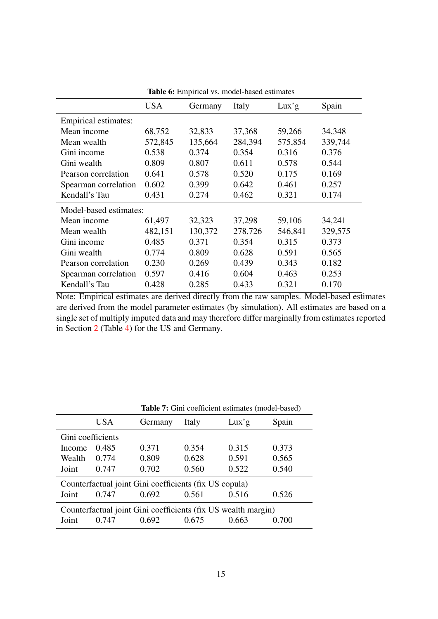<span id="page-17-0"></span>

|                        | <b>USA</b> | Germany | Italy   | Lux'g   | Spain   |
|------------------------|------------|---------|---------|---------|---------|
| Empirical estimates:   |            |         |         |         |         |
| Mean income            | 68,752     | 32,833  | 37,368  | 59,266  | 34,348  |
| Mean wealth            | 572,845    | 135,664 | 284,394 | 575,854 | 339,744 |
| Gini income            | 0.538      | 0.374   | 0.354   | 0.316   | 0.376   |
| Gini wealth            | 0.809      | 0.807   | 0.611   | 0.578   | 0.544   |
| Pearson correlation    | 0.641      | 0.578   | 0.520   | 0.175   | 0.169   |
| Spearman correlation   | 0.602      | 0.399   | 0.642   | 0.461   | 0.257   |
| Kendall's Tau          | 0.431      | 0.274   | 0.462   | 0.321   | 0.174   |
| Model-based estimates: |            |         |         |         |         |
| Mean income            | 61,497     | 32,323  | 37,298  | 59,106  | 34,241  |
| Mean wealth            | 482,151    | 130,372 | 278,726 | 546,841 | 329,575 |
| Gini income            | 0.485      | 0.371   | 0.354   | 0.315   | 0.373   |
| Gini wealth            | 0.774      | 0.809   | 0.628   | 0.591   | 0.565   |
| Pearson correlation    | 0.230      | 0.269   | 0.439   | 0.343   | 0.182   |
| Spearman correlation   | 0.597      | 0.416   | 0.604   | 0.463   | 0.253   |
| Kendall's Tau          | 0.428      | 0.285   | 0.433   | 0.321   | 0.170   |

Table 6: Empirical vs. model-based estimates

Note: Empirical estimates are derived directly from the raw samples. Model-based estimates are derived from the model parameter estimates (by simulation). All estimates are based on a single set of multiply imputed data and may therefore differ marginally from estimates reported in Section [2](#page-5-0) (Table [4\)](#page-10-1) for the US and Germany.

<span id="page-17-1"></span>

|                                                               |            | <b>rapic 7:</b> Only cochretent estimates (moder-based) |       |       |       |  |  |
|---------------------------------------------------------------|------------|---------------------------------------------------------|-------|-------|-------|--|--|
|                                                               | <b>USA</b> | Germany                                                 | Italy | Lux'g | Spain |  |  |
| Gini coefficients                                             |            |                                                         |       |       |       |  |  |
| Income                                                        | 0.485      | 0.371                                                   | 0.354 | 0.315 | 0.373 |  |  |
| Wealth                                                        | 0.774      | 0.809                                                   | 0.628 | 0.591 | 0.565 |  |  |
| Joint                                                         | 0.747      | 0.702                                                   | 0.560 | 0.522 | 0.540 |  |  |
| Counterfactual joint Gini coefficients (fix US copula)        |            |                                                         |       |       |       |  |  |
| Joint                                                         | 0.747      | 0.692                                                   | 0.561 | 0.516 | 0.526 |  |  |
| Counterfactual joint Gini coefficients (fix US wealth margin) |            |                                                         |       |       |       |  |  |
| Joint                                                         | 0.747      | 0.692                                                   | 0.675 | 0.663 | 0.700 |  |  |

Table 7: Gini coefficient estimates (model-based)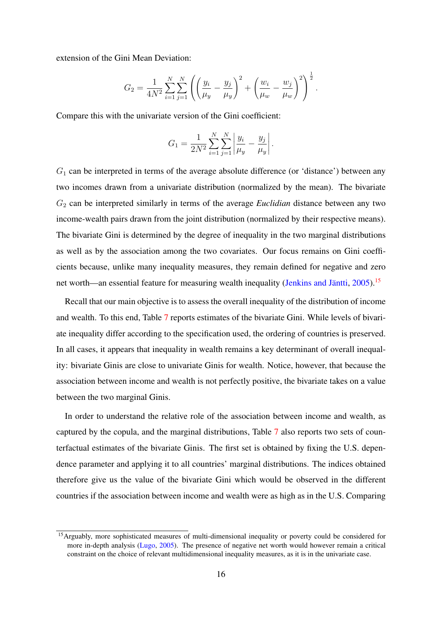extension of the Gini Mean Deviation:

$$
G_2 = \frac{1}{4N^2} \sum_{i=1}^N \sum_{j=1}^N \left( \left( \frac{y_i}{\mu_y} - \frac{y_j}{\mu_y} \right)^2 + \left( \frac{w_i}{\mu_w} - \frac{w_j}{\mu_w} \right)^2 \right)^{\frac{1}{2}}.
$$

Compare this with the univariate version of the Gini coefficient:

$$
G_1 = \frac{1}{2N^2} \sum_{i=1}^{N} \sum_{j=1}^{N} \left| \frac{y_i}{\mu_y} - \frac{y_j}{\mu_y} \right|
$$

*.*

*G*<sup>1</sup> can be interpreted in terms of the average absolute difference (or 'distance') between any two incomes drawn from a univariate distribution (normalized by the mean). The bivariate *G*<sup>2</sup> can be interpreted similarly in terms of the average *Euclidian* distance between any two income-wealth pairs drawn from the joint distribution (normalized by their respective means). The bivariate Gini is determined by the degree of inequality in the two marginal distributions as well as by the association among the two covariates. Our focus remains on Gini coefficients because, unlike many inequality measures, they remain defined for negative and zero net worth—an essential feature for measuring wealth inequality [\(Jenkins and Jäntti,](#page-22-8) [2005\)](#page-22-8).<sup>[15](#page--1-0)</sup>

Recall that our main objective is to assess the overall inequality of the distribution of income and wealth. To this end, Table [7](#page-17-1) reports estimates of the bivariate Gini. While levels of bivariate inequality differ according to the specification used, the ordering of countries is preserved. In all cases, it appears that inequality in wealth remains a key determinant of overall inequality: bivariate Ginis are close to univariate Ginis for wealth. Notice, however, that because the association between income and wealth is not perfectly positive, the bivariate takes on a value between the two marginal Ginis.

In order to understand the relative role of the association between income and wealth, as captured by the copula, and the marginal distributions, Table [7](#page-17-1) also reports two sets of counterfactual estimates of the bivariate Ginis. The first set is obtained by fixing the U.S. dependence parameter and applying it to all countries' marginal distributions. The indices obtained therefore give us the value of the bivariate Gini which would be observed in the different countries if the association between income and wealth were as high as in the U.S. Comparing

<sup>&</sup>lt;sup>15</sup>Arguably, more sophisticated measures of multi-dimensional inequality or poverty could be considered for more in-depth analysis [\(Lugo,](#page-23-10) [2005\)](#page-23-10). The presence of negative net worth would however remain a critical constraint on the choice of relevant multidimensional inequality measures, as it is in the univariate case.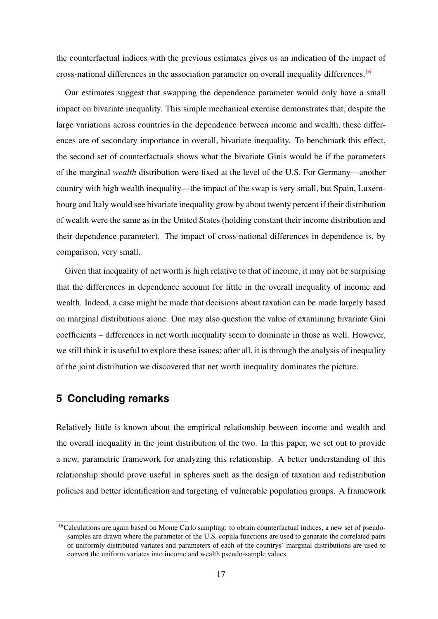the counterfactual indices with the previous estimates gives us an indication of the impact of cross-national differences in the association parameter on overall inequality differences.[16](#page--1-0)

Our estimates suggest that swapping the dependence parameter would only have a small impact on bivariate inequality. This simple mechanical exercise demonstrates that, despite the large variations across countries in the dependence between income and wealth, these differences are of secondary importance in overall, bivariate inequality. To benchmark this effect, the second set of counterfactuals shows what the bivariate Ginis would be if the parameters of the marginal *wealth* distribution were fixed at the level of the U.S. For Germany—another country with high wealth inequality—the impact of the swap is very small, but Spain, Luxembourg and Italy would see bivariate inequality grow by about twenty percent if their distribution of wealth were the same as in the United States (holding constant their income distribution and their dependence parameter). The impact of cross-national differences in dependence is, by comparison, very small.

Given that inequality of net worth is high relative to that of income, it may not be surprising that the differences in dependence account for little in the overall inequality of income and wealth. Indeed, a case might be made that decisions about taxation can be made largely based on marginal distributions alone. One may also question the value of examining bivariate Gini coefficients – differences in net worth inequality seem to dominate in those as well. However, we still think it is useful to explore these issues; after all, it is through the analysis of inequality of the joint distribution we discovered that net worth inequality dominates the picture.

# <span id="page-19-0"></span>**5 Concluding remarks**

Relatively little is known about the empirical relationship between income and wealth and the overall inequality in the joint distribution of the two. In this paper, we set out to provide a new, parametric framework for analyzing this relationship. A better understanding of this relationship should prove useful in spheres such as the design of taxation and redistribution policies and better identification and targeting of vulnerable population groups. A framework

<sup>&</sup>lt;sup>16</sup>Calculations are again based on Monte Carlo sampling: to obtain counterfactual indices, a new set of pseudosamples are drawn where the parameter of the U.S. copula functions are used to generate the correlated pairs of uniformly distributed variates and parameters of each of the countrys' marginal distributions are used to convert the uniform variates into income and wealth pseudo-sample values.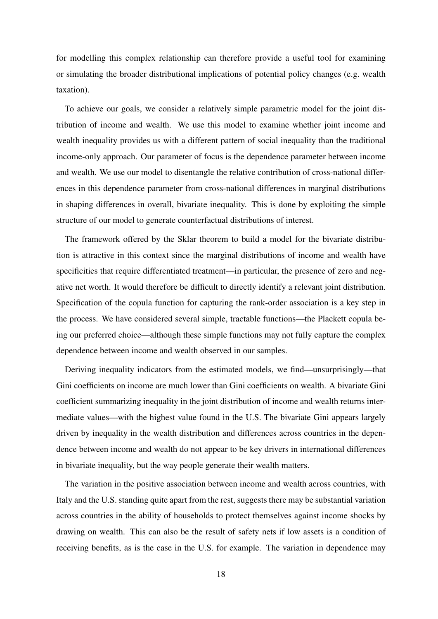for modelling this complex relationship can therefore provide a useful tool for examining or simulating the broader distributional implications of potential policy changes (e.g. wealth taxation).

To achieve our goals, we consider a relatively simple parametric model for the joint distribution of income and wealth. We use this model to examine whether joint income and wealth inequality provides us with a different pattern of social inequality than the traditional income-only approach. Our parameter of focus is the dependence parameter between income and wealth. We use our model to disentangle the relative contribution of cross-national differences in this dependence parameter from cross-national differences in marginal distributions in shaping differences in overall, bivariate inequality. This is done by exploiting the simple structure of our model to generate counterfactual distributions of interest.

The framework offered by the Sklar theorem to build a model for the bivariate distribution is attractive in this context since the marginal distributions of income and wealth have specificities that require differentiated treatment—in particular, the presence of zero and negative net worth. It would therefore be difficult to directly identify a relevant joint distribution. Specification of the copula function for capturing the rank-order association is a key step in the process. We have considered several simple, tractable functions—the Plackett copula being our preferred choice—although these simple functions may not fully capture the complex dependence between income and wealth observed in our samples.

Deriving inequality indicators from the estimated models, we find—unsurprisingly—that Gini coefficients on income are much lower than Gini coefficients on wealth. A bivariate Gini coefficient summarizing inequality in the joint distribution of income and wealth returns intermediate values—with the highest value found in the U.S. The bivariate Gini appears largely driven by inequality in the wealth distribution and differences across countries in the dependence between income and wealth do not appear to be key drivers in international differences in bivariate inequality, but the way people generate their wealth matters.

The variation in the positive association between income and wealth across countries, with Italy and the U.S. standing quite apart from the rest, suggests there may be substantial variation across countries in the ability of households to protect themselves against income shocks by drawing on wealth. This can also be the result of safety nets if low assets is a condition of receiving benefits, as is the case in the U.S. for example. The variation in dependence may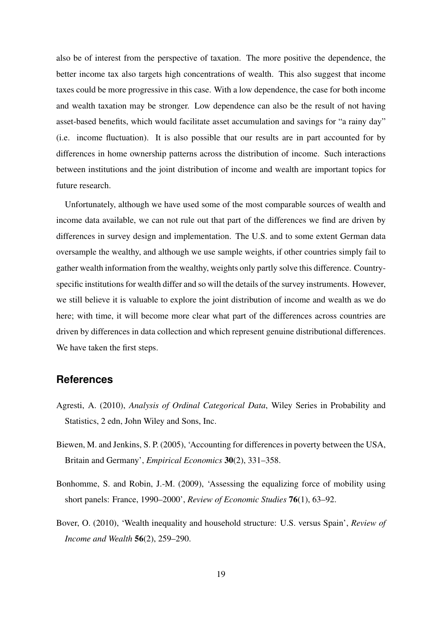also be of interest from the perspective of taxation. The more positive the dependence, the better income tax also targets high concentrations of wealth. This also suggest that income taxes could be more progressive in this case. With a low dependence, the case for both income and wealth taxation may be stronger. Low dependence can also be the result of not having asset-based benefits, which would facilitate asset accumulation and savings for "a rainy day" (i.e. income fluctuation). It is also possible that our results are in part accounted for by differences in home ownership patterns across the distribution of income. Such interactions between institutions and the joint distribution of income and wealth are important topics for future research.

Unfortunately, although we have used some of the most comparable sources of wealth and income data available, we can not rule out that part of the differences we find are driven by differences in survey design and implementation. The U.S. and to some extent German data oversample the wealthy, and although we use sample weights, if other countries simply fail to gather wealth information from the wealthy, weights only partly solve this difference. Countryspecific institutions for wealth differ and so will the details of the survey instruments. However, we still believe it is valuable to explore the joint distribution of income and wealth as we do here; with time, it will become more clear what part of the differences across countries are driven by differences in data collection and which represent genuine distributional differences. We have taken the first steps.

### **References**

- <span id="page-21-3"></span>Agresti, A. (2010), *Analysis of Ordinal Categorical Data*, Wiley Series in Probability and Statistics, 2 edn, John Wiley and Sons, Inc.
- <span id="page-21-1"></span>Biewen, M. and Jenkins, S. P. (2005), 'Accounting for differences in poverty between the USA, Britain and Germany', *Empirical Economics* 30(2), 331–358.
- <span id="page-21-2"></span>Bonhomme, S. and Robin, J.-M. (2009), 'Assessing the equalizing force of mobility using short panels: France, 1990–2000', *Review of Economic Studies* 76(1), 63–92.
- <span id="page-21-0"></span>Bover, O. (2010), 'Wealth inequality and household structure: U.S. versus Spain', *Review of Income and Wealth* 56(2), 259–290.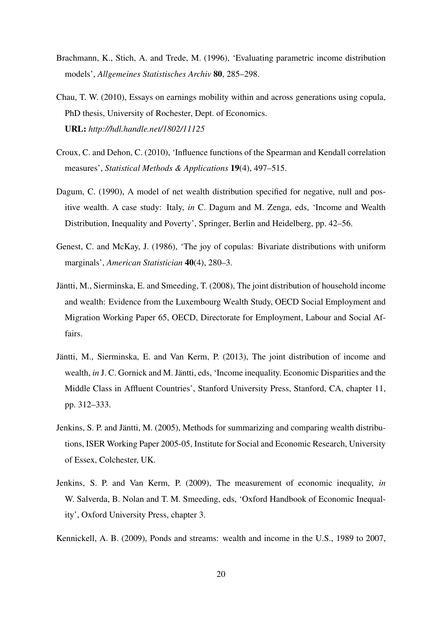- <span id="page-22-7"></span>Brachmann, K., Stich, A. and Trede, M. (1996), 'Evaluating parametric income distribution models', *Allgemeines Statistisches Archiv* 80, 285–298.
- <span id="page-22-9"></span>Chau, T. W. (2010), Essays on earnings mobility within and across generations using copula, PhD thesis, University of Rochester, Dept. of Economics. URL: *http://hdl.handle.net/1802/11125*
- <span id="page-22-5"></span>Croux, C. and Dehon, C. (2010), 'Influence functions of the Spearman and Kendall correlation measures', *Statistical Methods & Applications* 19(4), 497–515.
- <span id="page-22-6"></span>Dagum, C. (1990), A model of net wealth distribution specified for negative, null and positive wealth. A case study: Italy, *in* C. Dagum and M. Zenga, eds, 'Income and Wealth Distribution, Inequality and Poverty', Springer, Berlin and Heidelberg, pp. 42–56.
- <span id="page-22-4"></span>Genest, C. and McKay, J. (1986), 'The joy of copulas: Bivariate distributions with uniform marginals', *American Statistician* 40(4), 280–3.
- <span id="page-22-2"></span>Jäntti, M., Sierminska, E. and Smeeding, T. (2008), The joint distribution of household income and wealth: Evidence from the Luxembourg Wealth Study, OECD Social Employment and Migration Working Paper 65, OECD, Directorate for Employment, Labour and Social Affairs.
- <span id="page-22-3"></span>Jäntti, M., Sierminska, E. and Van Kerm, P. (2013), The joint distribution of income and wealth, *in* J. C. Gornick and M. Jäntti, eds, 'Income inequality. Economic Disparities and the Middle Class in Affluent Countries', Stanford University Press, Stanford, CA, chapter 11, pp. 312–333.
- <span id="page-22-8"></span>Jenkins, S. P. and Jäntti, M. (2005), Methods for summarizing and comparing wealth distributions, ISER Working Paper 2005-05, Institute for Social and Economic Research, University of Essex, Colchester, UK.
- <span id="page-22-0"></span>Jenkins, S. P. and Van Kerm, P. (2009), The measurement of economic inequality, *in* W. Salverda, B. Nolan and T. M. Smeeding, eds, 'Oxford Handbook of Economic Inequality', Oxford University Press, chapter 3.
- <span id="page-22-1"></span>Kennickell, A. B. (2009), Ponds and streams: wealth and income in the U.S., 1989 to 2007,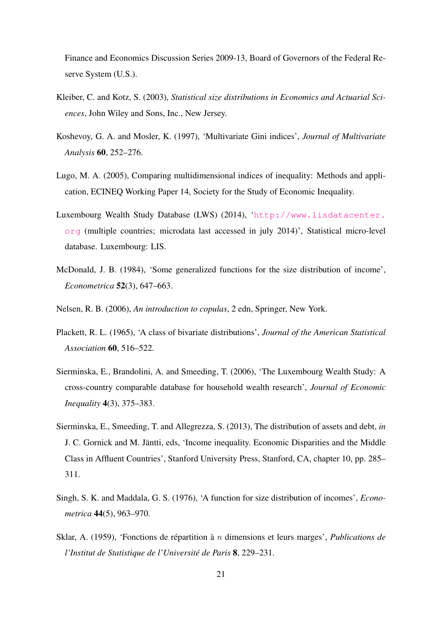Finance and Economics Discussion Series 2009-13, Board of Governors of the Federal Reserve System (U.S.).

- <span id="page-23-7"></span>Kleiber, C. and Kotz, S. (2003), *Statistical size distributions in Economics and Actuarial Sciences*, John Wiley and Sons, Inc., New Jersey.
- <span id="page-23-3"></span>Koshevoy, G. A. and Mosler, K. (1997), 'Multivariate Gini indices', *Journal of Multivariate Analysis* 60, 252–276.
- <span id="page-23-10"></span>Lugo, M. A. (2005), Comparing multidimensional indices of inequality: Methods and application, ECINEQ Working Paper 14, Society for the Study of Economic Inequality.
- <span id="page-23-2"></span>Luxembourg Wealth Study Database (LWS) (2014), '[http://www.lisdatacenter.](http://www.lisdatacenter.org) [org](http://www.lisdatacenter.org) (multiple countries; microdata last accessed in july 2014)', Statistical micro-level database. Luxembourg: LIS.
- <span id="page-23-5"></span>McDonald, J. B. (1984), 'Some generalized functions for the size distribution of income', *Econometrica* 52(3), 647–663.
- <span id="page-23-9"></span>Nelsen, R. B. (2006), *An introduction to copulas*, 2 edn, Springer, New York.
- <span id="page-23-8"></span>Plackett, R. L. (1965), 'A class of bivariate distributions', *Journal of the American Statistical Association* 60, 516–522.
- <span id="page-23-0"></span>Sierminska, E., Brandolini, A. and Smeeding, T. (2006), 'The Luxembourg Wealth Study: A cross-country comparable database for household wealth research', *Journal of Economic Inequality* 4(3), 375–383.
- <span id="page-23-1"></span>Sierminska, E., Smeeding, T. and Allegrezza, S. (2013), The distribution of assets and debt, *in* J. C. Gornick and M. Jäntti, eds, 'Income inequality. Economic Disparities and the Middle Class in Affluent Countries', Stanford University Press, Stanford, CA, chapter 10, pp. 285– 311.
- <span id="page-23-6"></span>Singh, S. K. and Maddala, G. S. (1976), 'A function for size distribution of incomes', *Econometrica* 44(5), 963–970.
- <span id="page-23-4"></span>Sklar, A. (1959), 'Fonctions de répartition à *n* dimensions et leurs marges', *Publications de l'Institut de Statistique de l'Université de Paris* 8, 229–231.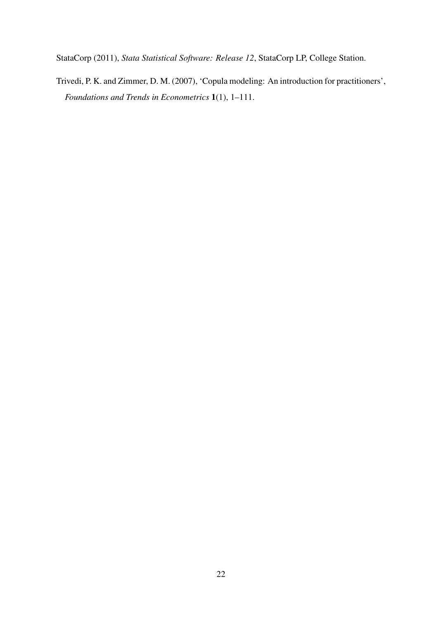<span id="page-24-1"></span>StataCorp (2011), *Stata Statistical Software: Release 12*, StataCorp LP, College Station.

<span id="page-24-0"></span>Trivedi, P. K. and Zimmer, D. M. (2007), 'Copula modeling: An introduction for practitioners', *Foundations and Trends in Econometrics* 1(1), 1–111.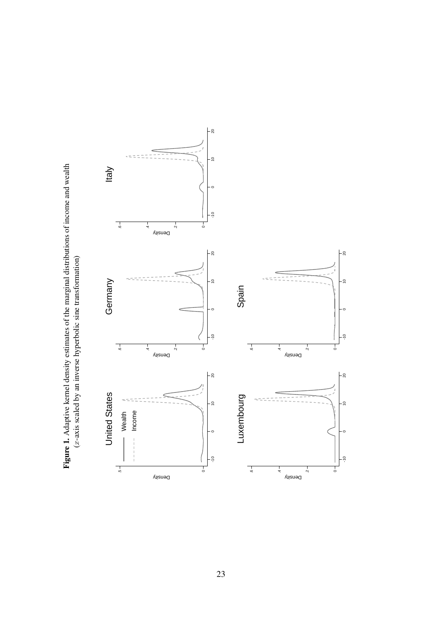

<span id="page-25-0"></span>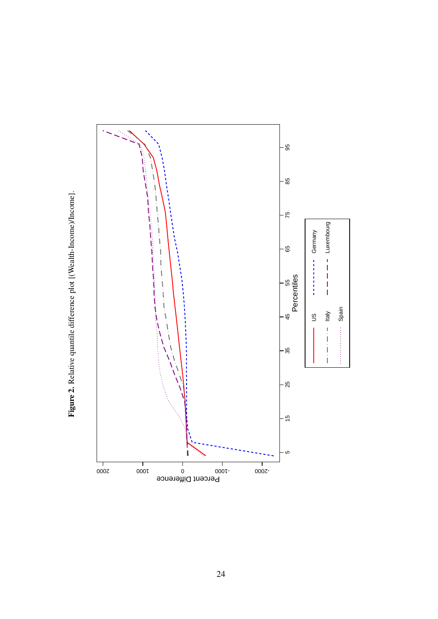Figure 2. Relative quantile difference plot [(Wealth-Income)/Income]. Figure 2. Relative quantile difference plot [(Wealth-Income)/Income].

<span id="page-26-0"></span>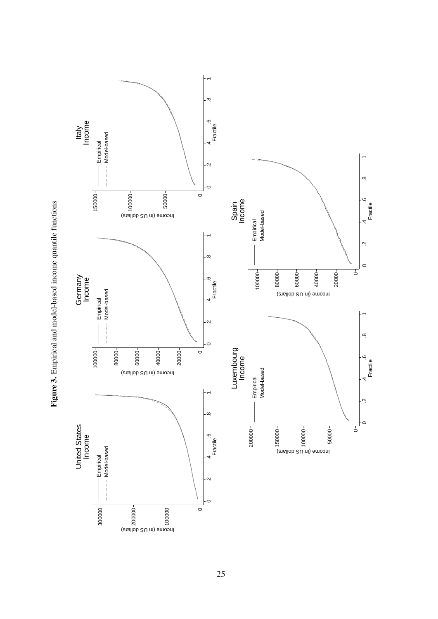<span id="page-27-0"></span>

Figure 3. Empirical and model-based income quantile functions Figure 3. Empirical and model-based income quantile functions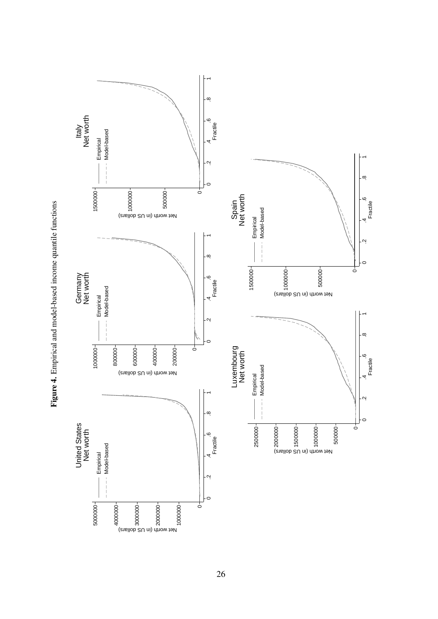<span id="page-28-0"></span>

Figure 4. Empirical and model-based income quantile functions Figure 4. Empirical and model-based income quantile functions